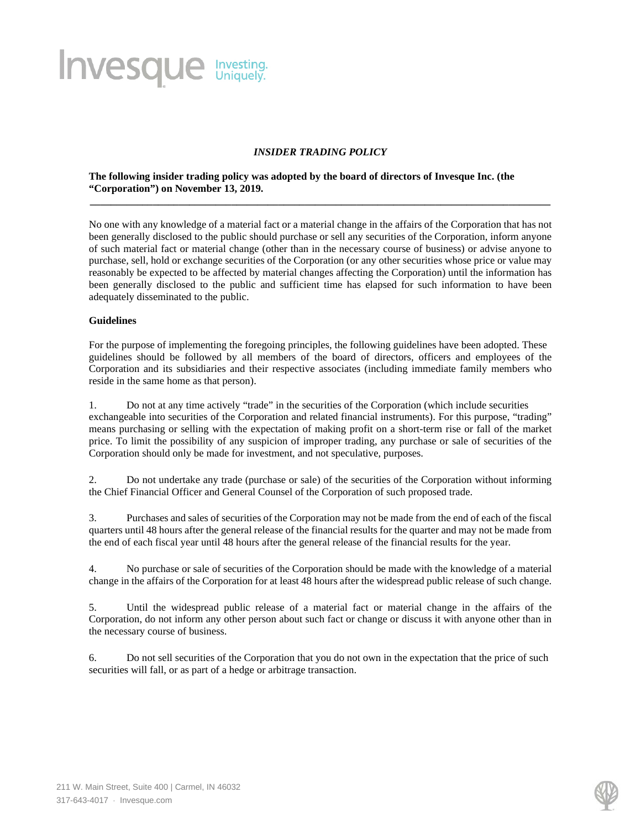# **Invesque** Investing.

## *INSIDER TRADING POLICY*

**\_\_\_\_\_\_\_\_\_\_\_\_\_\_\_\_\_\_\_\_\_\_\_\_\_\_\_\_\_\_\_\_\_\_\_\_\_\_\_\_\_\_\_\_\_\_\_\_\_\_\_\_\_\_\_\_\_\_\_\_\_\_\_\_\_\_\_\_\_\_\_\_\_\_\_\_\_\_\_\_\_\_\_\_\_\_\_\_**

### **The following insider trading policy was adopted by the board of directors of Invesque Inc. (the "Corporation") on November 13, 2019.**

No one with any knowledge of a material fact or a material change in the affairs of the Corporation that has not been generally disclosed to the public should purchase or sell any securities of the Corporation, inform anyone of such material fact or material change (other than in the necessary course of business) or advise anyone to purchase, sell, hold or exchange securities of the Corporation (or any other securities whose price or value may reasonably be expected to be affected by material changes affecting the Corporation) until the information has been generally disclosed to the public and sufficient time has elapsed for such information to have been adequately disseminated to the public.

### **Guidelines**

For the purpose of implementing the foregoing principles, the following guidelines have been adopted. These guidelines should be followed by all members of the board of directors, officers and employees of the Corporation and its subsidiaries and their respective associates (including immediate family members who reside in the same home as that person).

1. Do not at any time actively "trade" in the securities of the Corporation (which include securities exchangeable into securities of the Corporation and related financial instruments). For this purpose, "trading" means purchasing or selling with the expectation of making profit on a short-term rise or fall of the market price. To limit the possibility of any suspicion of improper trading, any purchase or sale of securities of the Corporation should only be made for investment, and not speculative, purposes.

2. Do not undertake any trade (purchase or sale) of the securities of the Corporation without informing the Chief Financial Officer and General Counsel of the Corporation of such proposed trade.

3. Purchases and sales of securities of the Corporation may not be made from the end of each of the fiscal quarters until 48 hours after the general release of the financial results for the quarter and may not be made from the end of each fiscal year until 48 hours after the general release of the financial results for the year.

4. No purchase or sale of securities of the Corporation should be made with the knowledge of a material change in the affairs of the Corporation for at least 48 hours after the widespread public release of such change.

5. Until the widespread public release of a material fact or material change in the affairs of the Corporation, do not inform any other person about such fact or change or discuss it with anyone other than in the necessary course of business.

6. Do not sell securities of the Corporation that you do not own in the expectation that the price of such securities will fall, or as part of a hedge or arbitrage transaction.